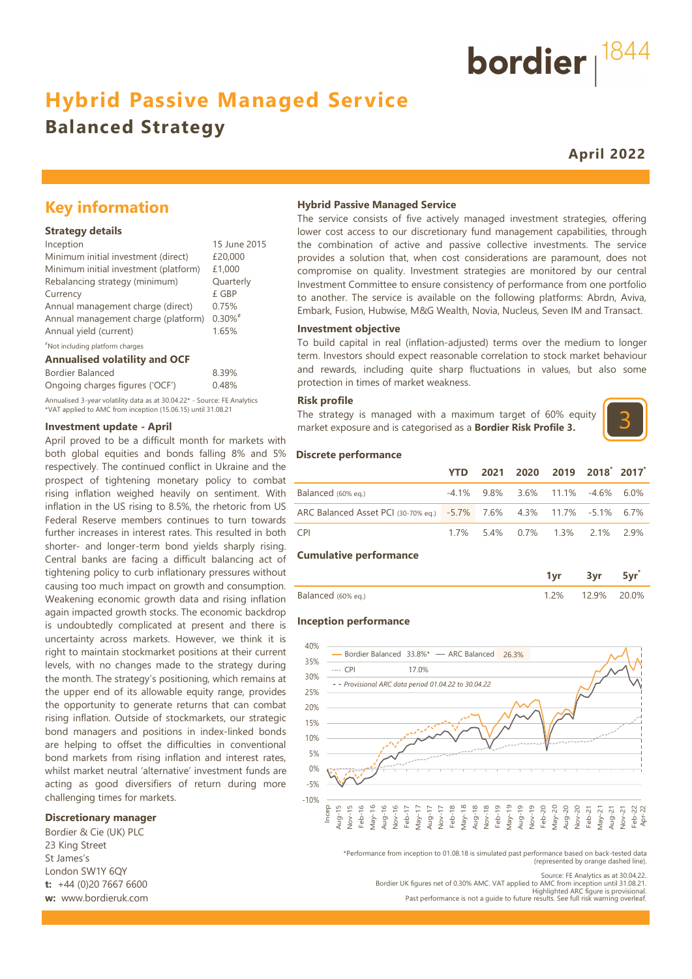# **Hybrid Passive Managed Service**

## **Balanced Strategy**

**April 2022**

bordier  $1844$ 

## **Key information**

#### **Strategy details**

| Inception                             | 15 June 2015          |
|---------------------------------------|-----------------------|
| Minimum initial investment (direct)   | £20,000               |
| Minimum initial investment (platform) | £1,000                |
| Rebalancing strategy (minimum)        | Quarterly             |
| Currency                              | £ GBP                 |
| Annual management charge (direct)     | 0.75%                 |
| Annual management charge (platform)   | $0.30\%$ <sup>#</sup> |
| Annual yield (current)                | 1.65%                 |
| "Not including platform charges       |                       |

#### **Annualised volatility and OCF**

| Bordier Balanced                                                         | 8.39% |
|--------------------------------------------------------------------------|-------|
| Ongoing charges figures ('OCF')                                          | 0.48% |
| Annualised 3-year volatility data as at 30.04.22* - Source: FE Analytics |       |
| *VAT applied to AMC from inception (15.06.15) until 31.08.21             |       |

#### **Investment update - April**

April proved to be a difficult month for markets with both global equities and bonds falling 8% and 5% respectively. The continued conflict in Ukraine and the prospect of tightening monetary policy to combat rising inflation weighed heavily on sentiment. With inflation in the US rising to 8.5%, the rhetoric from US Federal Reserve members continues to turn towards further increases in interest rates. This resulted in both shorter- and longer-term bond yields sharply rising. Central banks are facing a difficult balancing act of tightening policy to curb inflationary pressures without causing too much impact on growth and consumption. Weakening economic growth data and rising inflation again impacted growth stocks. The economic backdrop is undoubtedly complicated at present and there is uncertainty across markets. However, we think it is right to maintain stockmarket positions at their current levels, with no changes made to the strategy during the month. The strategy's positioning, which remains at the upper end of its allowable equity range, provides the opportunity to generate returns that can combat rising inflation. Outside of stockmarkets, our strategic bond managers and positions in index-linked bonds are helping to offset the difficulties in conventional bond markets from rising inflation and interest rates, whilst market neutral 'alternative' investment funds are acting as good diversifiers of return during more challenging times for markets.

#### **Discretionary manager**

Bordier & Cie (UK) PLC 23 King Street St James's London SW1Y 6QY **t:** +44 (0)20 7667 6600 **w:** www.bordieruk.com

#### **Hybrid Passive Managed Service**

The service consists of five actively managed investment strategies, offering lower cost access to our discretionary fund management capabilities, through the combination of active and passive collective investments. The service provides a solution that, when cost considerations are paramount, does not compromise on quality. Investment strategies are monitored by our central Investment Committee to ensure consistency of performance from one portfolio to another. The service is available on the following platforms: Abrdn, Aviva, Embark, Fusion, Hubwise, M&G Wealth, Novia, Nucleus, Seven IM and Transact.

#### **Investment objective**

To build capital in real (inflation-adjusted) terms over the medium to longer term. Investors should expect reasonable correlation to stock market behaviour and rewards, including quite sharp fluctuations in values, but also some protection in times of market weakness.

#### **Risk profile**

The strategy is managed with a maximum target of 60% equity market exposure and is categorised as a **Bordier Risk Profile 3.**



#### **Discrete performance**

|                                                                      | YTD | 2021 2020 2019 2018 2017               |  |  |
|----------------------------------------------------------------------|-----|----------------------------------------|--|--|
| Balanced (60% eg.)                                                   |     | $-4.1\%$ 9.8% 3.6% 11.1% $-4.6\%$ 6.0% |  |  |
| ARC Balanced Asset PCI (30-70% eq.) -5.7% 7.6% 4.3% 11.7% -5.1% 6.7% |     |                                        |  |  |
| CPI <sup>-</sup>                                                     |     | 1.7% 5.4% 0.7% 1.3% 2.1% 2.9%          |  |  |

#### **Cumulative performance**

| 3alanced (60% eg.) | $1\%$ | . 2 9% | ገ በ% |
|--------------------|-------|--------|------|

#### **Inception performance**



\*Performance from inception to 01.08.18 is simulated past performance based on back-tested data (represented by orange dashed line).

Source: FE Analytics as at 30.04.22. Bordier UK figures net of 0.30% AMC. VAT applied to AMC from inception until 31.08.21. Highlighted ARC figure is provisional.

Past performance is not a guide to future results. See full risk warning overleaf